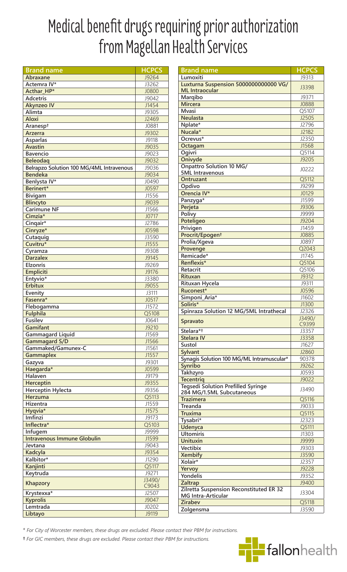## Medical benefit drugs requiring prior authorization from Magellan Health Services

| <b>Brand name</b>                        | <b>HCPCS</b> |
|------------------------------------------|--------------|
| Abraxane                                 | J9264        |
| Actemra IV*                              | J3262        |
| Acthar HP*                               | J0800        |
|                                          |              |
| <b>Adcetris</b>                          | J9042        |
| <b>Akynzeo IV</b>                        | J1454        |
| Alimta                                   | J9305        |
| <b>Aloxi</b>                             | J2469        |
| Aranesp <sup>+</sup>                     | J0881        |
| <b>Arzerra</b>                           | J9302        |
|                                          | J9118        |
| <b>Asparlas</b>                          |              |
| <b>Avastin</b>                           | J9035        |
| <b>Bavencio</b>                          | J9023        |
| <b>Beleodag</b>                          | J9032        |
| Belrapzo Solution 100 MG/4ML Intravenous | J9036        |
| <b>Bendeka</b>                           | J9034        |
| Benlysta IV*                             | J0490        |
| Berinert*                                | J0597        |
|                                          |              |
| Bivigam                                  | J1556        |
| <b>Blincyto</b>                          | J9039        |
| <b>Carimune NF</b>                       | J1566        |
| Cimzia*                                  | J0717        |
| Cingair*                                 | J2786        |
| Cinryze*                                 | <b>J0598</b> |
| Cutaquig                                 | J3590        |
| Cuvitru*                                 | J1555        |
|                                          |              |
| Cyramza                                  | J9308        |
| <b>Darzalex</b>                          | J9145        |
| <b>Elzonris</b>                          | J9269        |
| <b>Empliciti</b>                         | J9176        |
| Entyvio*                                 | J3380        |
| <b>Erbitux</b>                           | J9055        |
| Evenity                                  | J3111        |
| Fasenra*                                 | J0517        |
|                                          |              |
| Flebogamma                               | J1572        |
| <b>Fulphila</b>                          | Q5108        |
| <b>Fusilev</b>                           | J0641        |
| Gamifant                                 | J9210        |
| <b>Gammagard Liquid</b>                  | J1569        |
| <b>Gammagard S/D</b>                     | J1566        |
| Gammaked/Gamunex-C                       | J1561        |
| <b>Gammaplex</b>                         | J1557        |
| Gazyva                                   | J9301        |
| Haegarda*                                | J0599        |
| Halaven                                  | J9179        |
|                                          |              |
| <b>Herceptin</b>                         | J9355        |
| <b>Herceptin Hylecta</b>                 | J9356        |
| Herzuma                                  | Q5113        |
| Hizentra                                 | J1559        |
| Hyqvia*                                  | J1575        |
| Imfinzi                                  | J9173        |
| Inflectra*                               | Q5103        |
| Infugem                                  | J9999        |
| <b>Intravenous Immune Globulin</b>       | J1599        |
|                                          |              |
| Jevtana                                  | J9043        |
| Kadcyla                                  | J9354        |
| Kalbitor*                                | J1290        |
| Kanjinti                                 | Q5117        |
| Keytruda                                 | J9271        |
|                                          | J3490/       |
| <b>Khapzory</b>                          | C9043        |
| Krystexxa*                               | J2507        |
| <b>Kyprolis</b>                          | J9047        |
| Lemtrada                                 | J0202        |
|                                          |              |
| Libtayo                                  | J9119        |

| <b>Brand name</b>                                                      | <b>HCPCS</b> |
|------------------------------------------------------------------------|--------------|
|                                                                        |              |
| Lumoxiti                                                               | J9313        |
| Luxturna Suspension 5000000000000 VG/                                  | J3398        |
| <b>ML</b> Intraocular                                                  |              |
| Marqibo                                                                | J9371        |
| <b>Mircera</b>                                                         | J0888        |
| <b>M</b> vasi                                                          | Q5107        |
| <b>Neulasta</b>                                                        | J2505        |
|                                                                        | J2796        |
| Nplate*                                                                |              |
| Nucala*                                                                | J2182        |
| Ocrevus*                                                               | J2350        |
| Octagam                                                                | J1568        |
| Ogivri                                                                 | Q5114        |
| Onivyde                                                                | J9205        |
| <b>Onpattro Solution 10 MG/</b>                                        |              |
| <b>5ML</b> Intravenous                                                 | J0222        |
| <b>Ontruzant</b>                                                       | Q5112        |
| Opdivo                                                                 | J9299        |
|                                                                        |              |
| Orencia IV*                                                            | J0129        |
| Panzyga*                                                               | J1599        |
| Perjeta                                                                | <b>J9306</b> |
| Polivy                                                                 | J9999        |
| Poteligeo                                                              | J9204        |
| Privigen                                                               | J1459        |
| Procrit/Epogent                                                        | J0885        |
| Prolia/Xgeva                                                           | J0897        |
|                                                                        | Q2043        |
| Provenge<br>Remicade*                                                  |              |
|                                                                        | J1745        |
| Renflexis*                                                             | Q5104        |
| Retacrit                                                               | Q5106        |
| <b>Rituxan</b>                                                         | J9312        |
| Rituxan Hycela                                                         | J9311        |
| Ruconest*                                                              | <b>J0596</b> |
| Simponi_Aria*                                                          | J1602        |
| Soliris*                                                               | J1300        |
| Spinraza Solution 12 MG/5ML Intrathecal                                | J2326        |
|                                                                        | J3490/       |
| <b>Spravato</b>                                                        | C9399        |
| Stelara* <sup>+</sup>                                                  | J3357        |
| <b>Stelara IV</b>                                                      | J3358        |
| <b>Sustol</b>                                                          | J1627        |
| <b>Sylvant</b>                                                         | J2860        |
| Synagis Solution 100 MG/ML Intramuscular*                              | 90378        |
| <b>Synribo</b>                                                         | J9262        |
| Takhzyro                                                               | J0593        |
|                                                                        |              |
| <b>Tecentrig</b>                                                       | J9022        |
| <b>Tegsedi Solution Prefilled Syringe</b><br>284 MG/1.5ML Subcutaneous | J3490        |
| <b>Trazimera</b>                                                       | Q5116        |
| <b>Treanda</b>                                                         | J9033        |
| Truxima                                                                | Q5115        |
| Tysabri*                                                               | J2323        |
|                                                                        |              |
| <b>Udenyca</b>                                                         | Q5111        |
| <b>Ultomiris</b>                                                       | J1303        |
| <b>Unituxin</b>                                                        | J9999        |
| <b>Vectibix</b>                                                        | J9303        |
| <b>Xembify</b>                                                         | J3590        |
| Xolair*                                                                | J2357        |
| Yervoy                                                                 | J9228        |
| <b>Yondelis</b>                                                        | J9352        |
| <b>Zaltrap</b>                                                         | J9400        |
| Zilretta Suspension Reconstituted ER 32                                |              |
| <b>MG Intra-Articular</b>                                              | J3304        |
| <b>Zirabev</b>                                                         | Q5118        |
| Zolgensma                                                              | J3590        |

\* For City of Worcester members, these drugs are excluded. Please contact their PBM for instructions.

<sup>†</sup> For GIC members, these drugs are excluded. Please contact their PBM for instructions.